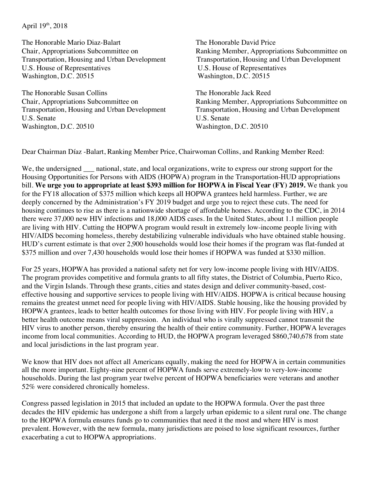April  $19^{th}$ , 2018

The Honorable Mario Diaz-Balart The Honorable David Price Transportation, Housing and Urban Development Transportation, Housing and Urban Development U.S. House of Representatives U.S. House of Representatives Washington, D.C. 20515 Washington, D.C. 20515

The Honorable Susan Collins The Honorable Jack Reed U.S. Senate U.S. Senate Washington, D.C. 20510 Washington, D.C. 20510

Chair, Appropriations Subcommittee on Ranking Member, Appropriations Subcommittee on

Chair, Appropriations Subcommittee on Ranking Member, Appropriations Subcommittee on Transportation, Housing and Urban Development Transportation, Housing and Urban Development

Dear Chairman Díaz -Balart, Ranking Member Price, Chairwoman Collins, and Ranking Member Reed:

We, the undersigned a national, state, and local organizations, write to express our strong support for the Housing Opportunities for Persons with AIDS (HOPWA) program in the Transportation-HUD appropriations bill. **We urge you to appropriate at least \$393 million for HOPWA in Fiscal Year (FY) 2019.** We thank you for the FY18 allocation of \$375 million which keeps all HOPWA grantees held harmless. Further, we are deeply concerned by the Administration's FY 2019 budget and urge you to reject these cuts. The need for housing continues to rise as there is a nationwide shortage of affordable homes. According to the CDC, in 2014 there were 37,000 new HIV infections and 18,000 AIDS cases. In the United States, about 1.1 million people are living with HIV. Cutting the HOPWA program would result in extremely low-income people living with HIV/AIDS becoming homeless, thereby destabilizing vulnerable individuals who have obtained stable housing. HUD's current estimate is that over 2,900 households would lose their homes if the program was flat-funded at \$375 million and over 7,430 households would lose their homes if HOPWA was funded at \$330 million.

For 25 years, HOPWA has provided a national safety net for very low-income people living with HIV/AIDS. The program provides competitive and formula grants to all fifty states, the District of Columbia, Puerto Rico, and the Virgin Islands. Through these grants, cities and states design and deliver community-based, costeffective housing and supportive services to people living with HIV/AIDS. HOPWA is critical because housing remains the greatest unmet need for people living with HIV/AIDS. Stable housing, like the housing provided by HOPWA grantees, leads to better health outcomes for those living with HIV. For people living with HIV, a better health outcome means viral suppression. An individual who is virally suppressed cannot transmit the HIV virus to another person, thereby ensuring the health of their entire community. Further, HOPWA leverages income from local communities. According to HUD, the HOPWA program leveraged \$860,740,678 from state and local jurisdictions in the last program year.

We know that HIV does not affect all Americans equally, making the need for HOPWA in certain communities all the more important. Eighty-nine percent of HOPWA funds serve extremely-low to very-low-income households. During the last program year twelve percent of HOPWA beneficiaries were veterans and another 52% were considered chronically homeless.

Congress passed legislation in 2015 that included an update to the HOPWA formula. Over the past three decades the HIV epidemic has undergone a shift from a largely urban epidemic to a silent rural one. The change to the HOPWA formula ensures funds go to communities that need it the most and where HIV is most prevalent. However, with the new formula, many jurisdictions are poised to lose significant resources, further exacerbating a cut to HOPWA appropriations.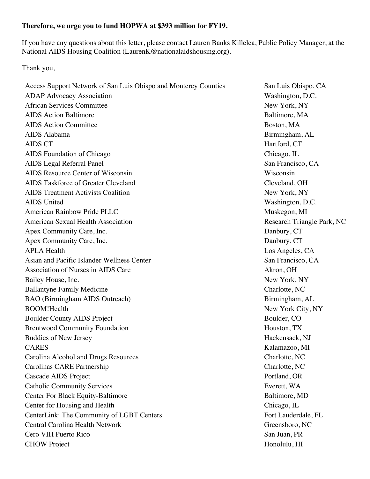## **Therefore, we urge you to fund HOPWA at \$393 million for FY19.**

If you have any questions about this letter, please contact Lauren Banks Killelea, Public Policy Manager, at the National AIDS Housing Coalition (LaurenK@nationalaidshousing.org).

Thank you,

Access Support Network of San Luis Obispo and Monterey Counties San Luis Obispo, CA ADAP Advocacy Association Number of Contractor Contractor Contractor Contractor Number of Contractor Contractor Number of Contractor Contractor Number of Contractor Contractor Number of Contractor Number of Contractor Numb African Services Committee New York, NY AIDS Action Baltimore and the set of the set of the Baltimore, MA AIDS Action Committee Boston, MA AIDS Alabama Birmingham, AL AIDS CT Hartford, CT AIDS Foundation of Chicago Chicago, IL AIDS Legal Referral Panel San Francisco, CA AIDS Resource Center of Wisconsin Wisconsin AIDS Taskforce of Greater Cleveland Cleveland, OH AIDS Treatment Activists Coalition New York, NY AIDS United Washington, D.C. American Rainbow Pride PLLC **American Rainbow Pride PLLC** American Muskegon, MI American Sexual Health Association **Research Triangle Park, NC** Apex Community Care, Inc.  $\Box$  Danbury, CT Apex Community Care, Inc.  $\Box$ APLA Health Los Angeles, CA Asian and Pacific Islander Wellness Center San Francisco, CA Association of Nurses in AIDS Care Akron, OH Bailey House, Inc. New York, NY Ballantyne Family Medicine Charlotte, NC BAO (Birmingham AIDS Outreach) Birmingham, AL BOOM!Health New York City, NY Boulder County AIDS Project Boulder, CO Brentwood Community Foundation Houston, TX Buddies of New Jersey **Hackensack**, NJ CARES Kalamazoo, MI Carolina Alcohol and Drugs Resources Charlotte, NC Carolinas CARE Partnership Charlotte, NC Cascade AIDS Project **Portland**, OR Catholic Community Services Everett, WA Center For Black Equity-Baltimore Baltimore, MD Center for Housing and Health Chicago, IL CenterLink: The Community of LGBT Centers Fort Lauderdale, FL Central Carolina Health Network Greensboro, NC Cero VIH Puerto Rico San Juan, PR CHOW Project Honolulu, HI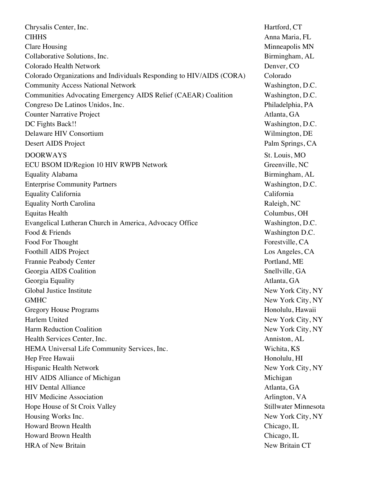Chrysalis Center, Inc. Hartford, CT CIHHS Anna Maria, FL Clare Housing Minneapolis MN Collaborative Solutions, Inc. 6. The Collaborative Solutions, Inc. 6. The Collaborative Solutions, Inc. 6. The Collaborative Solutions and The Collaborative Solutions, Inc. 6. The Collaborative Solutions, Inc. 6. The Colla Colorado Health Network Denver, CO Colorado Organizations and Individuals Responding to HIV/AIDS (CORA) Colorado Community Access National Network Washington, D.C. Communities Advocating Emergency AIDS Relief (CAEAR) Coalition Washington, D.C. Congreso De Latinos Unidos, Inc. **Philadelphia, PA** Counter Narrative Project Atlanta, GA DC Fights Back!! Washington, D.C. Delaware HIV Consortium Wilmington, DE Desert AIDS Project Palm Springs, CA DOORWAYS St. Louis, MO ECU BSOM ID/Region 10 HIV RWPB Network Greenville, NC Equality Alabama Birmingham, AL Enterprise Community Partners Washington, D.C. Equality California California Equality North Carolina Raleigh, NC Equitas Health Columbus, OH Evangelical Lutheran Church in America, Advocacy Office Washington, D.C. Food & Friends Washington D.C. Food For Thought Forestylle, CA Foothill AIDS Project Los Angeles, CA Frannie Peabody Center **Portland**, ME Georgia AIDS Coalition Snellville, GA Georgia Equality **Atlanta**, GA Global Justice Institute  $\blacksquare$  New York City, NY GMHC New York City, NY Gregory House Programs **Honolulu**, Hawaii Harlem United New York City, NY Harm Reduction Coalition New York City, NY Health Services Center, Inc.  $\blacksquare$ HEMA Universal Life Community Services, Inc. Wichita, KS Hep Free Hawaii **Honolulu**, HI Hispanic Health Network New York City, NY HIV AIDS Alliance of Michigan Michigan Michigan HIV Dental Alliance Atlanta, GA HIV Medicine Association Arlington, VA Hope House of St Croix Valley Stillwater Minnesota Housing Works Inc. New York City, NY Howard Brown Health Chicago, IL Howard Brown Health Chicago, IL HRA of New Britain New Britain CT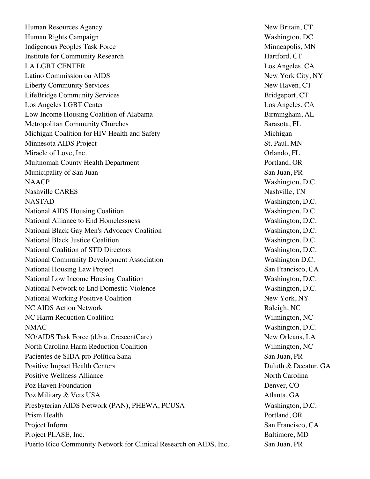Human Resources Agency New Britain, CT Human Rights Campaign Washington, DC Indigenous Peoples Task Force Minneapolis, MN Institute for Community Research Hartford, CT LA LGBT CENTER LOS Angeles, CA Latino Commission on AIDS New York City, NY Liberty Community Services and the service of the services of the New Haven, CT LifeBridge Community Services Bridgeport, CT Los Angeles LGBT Center Los Angeles, CA Low Income Housing Coalition of Alabama Birmingham, AL Metropolitan Community Churches Sarasota, FL Michigan Coalition for HIV Health and Safety Michigan Minnesota AIDS Project St. Paul, MN Miracle of Love, Inc. Contact the Contact of Love, Inc. Contact of Love, Inc. Contact of Love, Inc. Multnomah County Health Department Portland, OR Municipality of San Juan San Juan San Juan, PR NAACP Washington, D.C. Nashville CARES Nashville, TN NASTAD Washington, D.C. National AIDS Housing Coalition Washington, D.C. National Alliance to End Homelessness Washington, D.C. National Black Gay Men's Advocacy Coalition Washington, D.C. National Black Justice Coalition Washington, D.C. National Coalition of STD Directors Washington, D.C. National Community Development Association Washington D.C. National Housing Law Project San Francisco, CA National Low Income Housing Coalition News Service Contract Assembly Number of Washington, D.C. National Network to End Domestic Violence Washington, D.C. National Working Positive Coalition New York, NY NC AIDS Action Network Raleigh, NC NC Harm Reduction Coalition Wilmington, NC NMAC Washington, D.C. NO/AIDS Task Force (d.b.a. CrescentCare) New Orleans, LA North Carolina Harm Reduction Coalition Wilmington, NC Pacientes de SIDA pro Política Sana  $\blacksquare$  San Juan, PR Positive Impact Health Centers Duluth & Decatur, GA Positive Wellness Alliance North Carolina Poz Haven Foundation **Denver, CO** Poz Military & Vets USA Atlanta, GA Presbyterian AIDS Network (PAN), PHEWA, PCUSA Washington, D.C. Prism Health **Prism Health** Portland, OR Project Inform San Francisco, CA Project PLASE, Inc. Baltimore, MD Puerto Rico Community Network for Clinical Research on AIDS, Inc. San Juan, PR